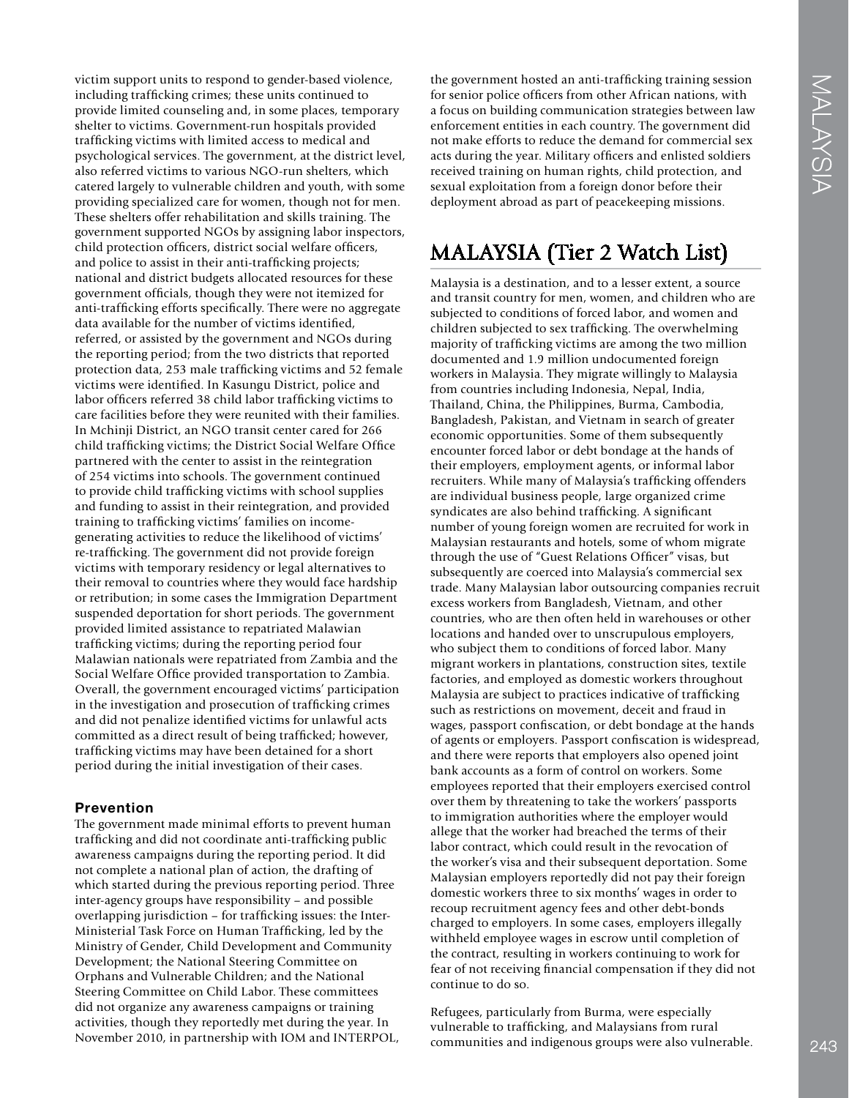victim support units to respond to gender-based violence, including traffcking crimes; these units continued to provide limited counseling and, in some places, temporary shelter to victims. Government-run hospitals provided traffcking victims with limited access to medical and psychological services. The government, at the district level, also referred victims to various NGO-run shelters, which catered largely to vulnerable children and youth, with some providing specialized care for women, though not for men. These shelters offer rehabilitation and skills training. The government supported NGOs by assigning labor inspectors, child protection officers, district social welfare officers, and police to assist in their anti-traffcking projects; national and district budgets allocated resources for these government officials, though they were not itemized for anti-traffcking efforts specifcally. There were no aggregate data available for the number of victims identifed, referred, or assisted by the government and NGOs during the reporting period; from the two districts that reported protection data, 253 male traffcking victims and 52 female victims were identifed. In Kasungu District, police and labor officers referred 38 child labor trafficking victims to care facilities before they were reunited with their families. In Mchinji District, an NGO transit center cared for 266 child traffcking victims; the District Social Welfare Offce partnered with the center to assist in the reintegration of 254 victims into schools. The government continued to provide child traffcking victims with school supplies and funding to assist in their reintegration, and provided training to traffcking victims' families on incomegenerating activities to reduce the likelihood of victims' re-traffcking. The government did not provide foreign victims with temporary residency or legal alternatives to their removal to countries where they would face hardship or retribution; in some cases the Immigration Department suspended deportation for short periods. The government provided limited assistance to repatriated Malawian traffcking victims; during the reporting period four Malawian nationals were repatriated from Zambia and the Social Welfare Offce provided transportation to Zambia. Overall, the government encouraged victims' participation in the investigation and prosecution of traffcking crimes and did not penalize identifed victims for unlawful acts committed as a direct result of being traffcked; however, traffcking victims may have been detained for a short period during the initial investigation of their cases.

## **Prevention**

The government made minimal efforts to prevent human traffcking and did not coordinate anti-traffcking public awareness campaigns during the reporting period. It did not complete a national plan of action, the drafting of which started during the previous reporting period. Three inter-agency groups have responsibility – and possible overlapping jurisdiction – for traffcking issues: the Inter-Ministerial Task Force on Human Traffcking, led by the Ministry of Gender, Child Development and Community Development; the National Steering Committee on Orphans and Vulnerable Children; and the National Steering Committee on Child Labor. These committees did not organize any awareness campaigns or training activities, though they reportedly met during the year. In November 2010, in partnership with IOM and INTERPOL, the government hosted an anti-traffcking training session for senior police offcers from other African nations, with a focus on building communication strategies between law enforcement entities in each country. The government did not make efforts to reduce the demand for commercial sex acts during the year. Military officers and enlisted soldiers received training on human rights, child protection, and sexual exploitation from a foreign donor before their deployment abroad as part of peacekeeping missions.

# MALAYSIA (Tier 2 Watch List)

Malaysia is a destination, and to a lesser extent, a source and transit country for men, women, and children who are subjected to conditions of forced labor, and women and children subjected to sex traffcking. The overwhelming majority of traffcking victims are among the two million documented and 1.9 million undocumented foreign workers in Malaysia. They migrate willingly to Malaysia from countries including Indonesia, Nepal, India, Thailand, China, the Philippines, Burma, Cambodia, Bangladesh, Pakistan, and Vietnam in search of greater economic opportunities. Some of them subsequently encounter forced labor or debt bondage at the hands of their employers, employment agents, or informal labor recruiters. While many of Malaysia's traffcking offenders are individual business people, large organized crime syndicates are also behind traffcking. A signifcant number of young foreign women are recruited for work in Malaysian restaurants and hotels, some of whom migrate through the use of "Guest Relations Officer" visas, but subsequently are coerced into Malaysia's commercial sex trade. Many Malaysian labor outsourcing companies recruit excess workers from Bangladesh, Vietnam, and other countries, who are then often held in warehouses or other locations and handed over to unscrupulous employers, who subject them to conditions of forced labor. Many migrant workers in plantations, construction sites, textile factories, and employed as domestic workers throughout Malaysia are subject to practices indicative of traffcking such as restrictions on movement, deceit and fraud in wages, passport confscation, or debt bondage at the hands of agents or employers. Passport confscation is widespread, and there were reports that employers also opened joint bank accounts as a form of control on workers. Some employees reported that their employers exercised control over them by threatening to take the workers' passports to immigration authorities where the employer would allege that the worker had breached the terms of their labor contract, which could result in the revocation of the worker's visa and their subsequent deportation. Some Malaysian employers reportedly did not pay their foreign domestic workers three to six months' wages in order to recoup recruitment agency fees and other debt-bonds charged to employers. In some cases, employers illegally withheld employee wages in escrow until completion of the contract, resulting in workers continuing to work for fear of not receiving fnancial compensation if they did not continue to do so.

Refugees, particularly from Burma, were especially vulnerable to traffcking, and Malaysians from rural communities and indigenous groups were also vulnerable.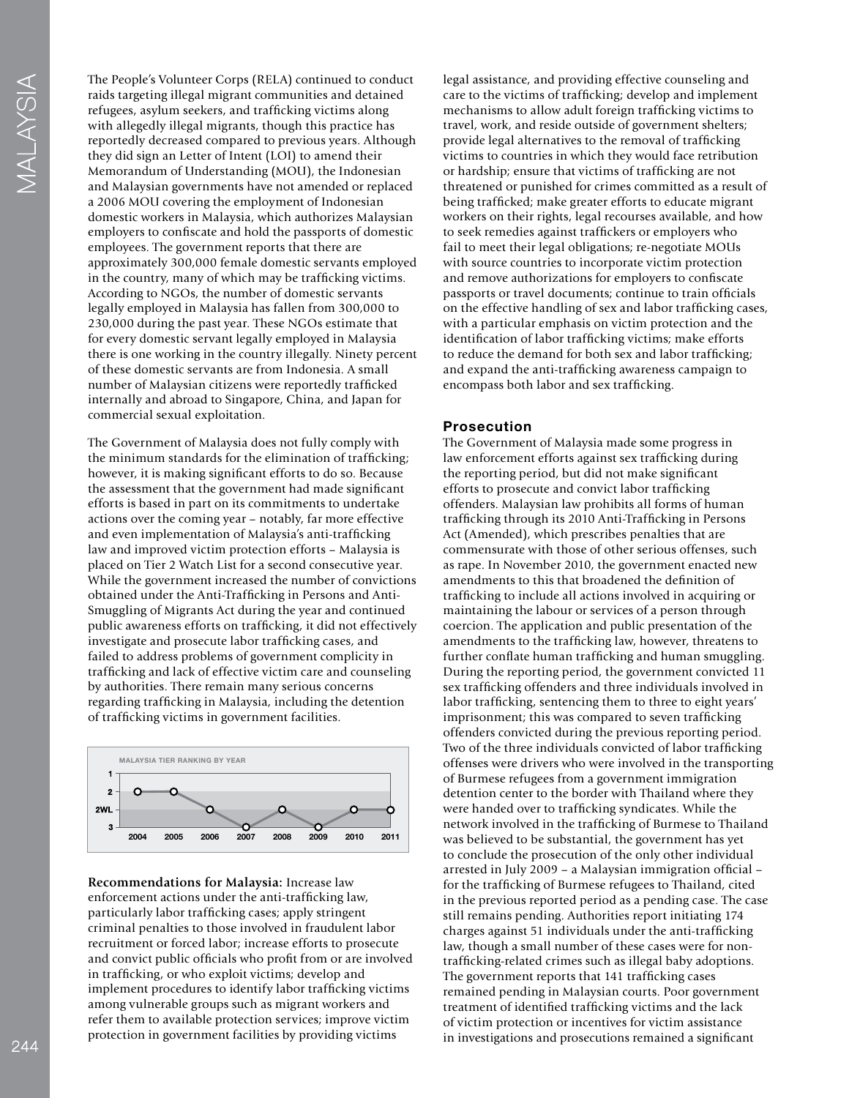The People's Volunteer Corps (RELA) continued to conduct raids targeting illegal migrant communities and detained refugees, asylum seekers, and traffcking victims along with allegedly illegal migrants, though this practice has reportedly decreased compared to previous years. Although they did sign an Letter of Intent (LOI) to amend their Memorandum of Understanding (MOU), the Indonesian and Malaysian governments have not amended or replaced a 2006 MOU covering the employment of Indonesian domestic workers in Malaysia, which authorizes Malaysian employers to confscate and hold the passports of domestic employees. The government reports that there are approximately 300,000 female domestic servants employed in the country, many of which may be traffcking victims. According to NGOs, the number of domestic servants legally employed in Malaysia has fallen from 300,000 to 230,000 during the past year. These NGOs estimate that for every domestic servant legally employed in Malaysia there is one working in the country illegally. Ninety percent of these domestic servants are from Indonesia. A small number of Malaysian citizens were reportedly traffcked internally and abroad to Singapore, China, and Japan for commercial sexual exploitation.

The Government of Malaysia does not fully comply with the minimum standards for the elimination of traffcking; however, it is making signifcant efforts to do so. Because the assessment that the government had made signifcant efforts is based in part on its commitments to undertake actions over the coming year – notably, far more effective and even implementation of Malaysia's anti-traffcking law and improved victim protection efforts – Malaysia is placed on Tier 2 Watch List for a second consecutive year. While the government increased the number of convictions obtained under the Anti-Traffcking in Persons and Anti-Smuggling of Migrants Act during the year and continued public awareness efforts on traffcking, it did not effectively investigate and prosecute labor traffcking cases, and failed to address problems of government complicity in traffcking and lack of effective victim care and counseling by authorities. There remain many serious concerns regarding traffcking in Malaysia, including the detention of traffcking victims in government facilities.



**Recommendations for Malaysia:** Increase law enforcement actions under the anti-traffcking law, particularly labor traffcking cases; apply stringent criminal penalties to those involved in fraudulent labor recruitment or forced labor; increase efforts to prosecute and convict public offcials who proft from or are involved in traffcking, or who exploit victims; develop and implement procedures to identify labor traffcking victims among vulnerable groups such as migrant workers and refer them to available protection services; improve victim protection in government facilities by providing victims

legal assistance, and providing effective counseling and care to the victims of traffcking; develop and implement mechanisms to allow adult foreign traffcking victims to travel, work, and reside outside of government shelters; provide legal alternatives to the removal of traffcking victims to countries in which they would face retribution or hardship; ensure that victims of traffcking are not threatened or punished for crimes committed as a result of being traffcked; make greater efforts to educate migrant workers on their rights, legal recourses available, and how to seek remedies against traffckers or employers who fail to meet their legal obligations; re-negotiate MOUs with source countries to incorporate victim protection and remove authorizations for employers to confscate passports or travel documents; continue to train offcials on the effective handling of sex and labor traffcking cases, with a particular emphasis on victim protection and the identification of labor trafficking victims; make efforts to reduce the demand for both sex and labor traffcking; and expand the anti-traffcking awareness campaign to encompass both labor and sex traffcking.

#### **Prosecution**

The Government of Malaysia made some progress in law enforcement efforts against sex traffcking during the reporting period, but did not make signifcant efforts to prosecute and convict labor traffcking offenders. Malaysian law prohibits all forms of human traffcking through its 2010 Anti-Traffcking in Persons Act (Amended), which prescribes penalties that are commensurate with those of other serious offenses, such as rape. In November 2010, the government enacted new amendments to this that broadened the defnition of traffcking to include all actions involved in acquiring or maintaining the labour or services of a person through coercion. The application and public presentation of the amendments to the traffcking law, however, threatens to further conflate human trafficking and human smuggling. During the reporting period, the government convicted 11 sex traffcking offenders and three individuals involved in labor trafficking, sentencing them to three to eight years' imprisonment; this was compared to seven trafficking offenders convicted during the previous reporting period. Two of the three individuals convicted of labor trafficking offenses were drivers who were involved in the transporting of Burmese refugees from a government immigration detention center to the border with Thailand where they were handed over to traffcking syndicates. While the network involved in the traffcking of Burmese to Thailand was believed to be substantial, the government has yet to conclude the prosecution of the only other individual arrested in July 2009 – a Malaysian immigration offcial – for the traffcking of Burmese refugees to Thailand, cited in the previous reported period as a pending case. The case still remains pending. Authorities report initiating 174 charges against 51 individuals under the anti-traffcking law, though a small number of these cases were for nontraffcking-related crimes such as illegal baby adoptions. The government reports that 141 traffcking cases remained pending in Malaysian courts. Poor government treatment of identifed traffcking victims and the lack of victim protection or incentives for victim assistance in investigations and prosecutions remained a signifcant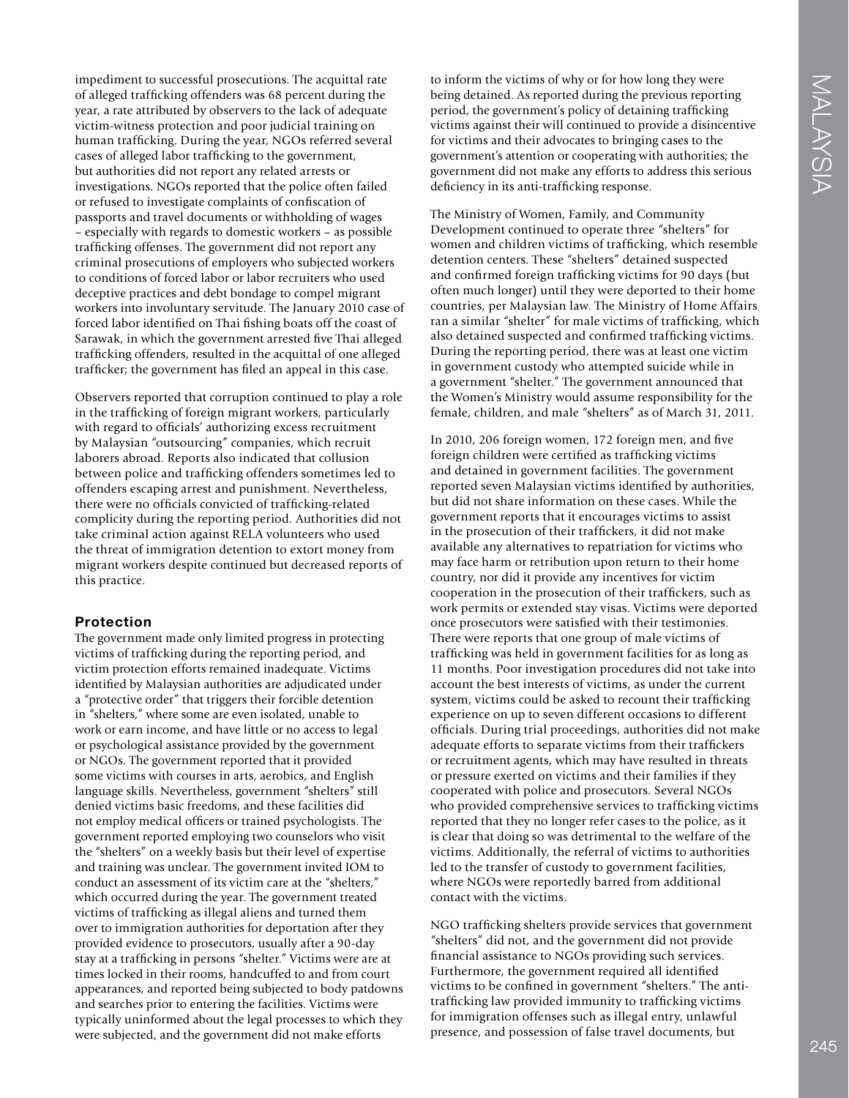impediment to successful prosecutions. The acquittal rate of alleged traffcking offenders was 68 percent during the year, a rate attributed by observers to the lack of adequate victim-witness protection and poor judicial training on human traffcking. During the year, NGOs referred several cases of alleged labor traffcking to the government, but authorities did not report any related arrests or investigations. NGOs reported that the police often failed or refused to investigate complaints of confscation of passports and travel documents or withholding of wages – especially with regards to domestic workers – as possible traffcking offenses. The government did not report any criminal prosecutions of employers who subjected workers to conditions of forced labor or labor recruiters who used deceptive practices and debt bondage to compel migrant workers into involuntary servitude. The January 2010 case of forced labor identifed on Thai fshing boats off the coast of Sarawak, in which the government arrested fve Thai alleged traffcking offenders, resulted in the acquittal of one alleged traffcker; the government has fled an appeal in this case.

Observers reported that corruption continued to play a role in the traffcking of foreign migrant workers, particularly with regard to officials' authorizing excess recruitment by Malaysian "outsourcing" companies, which recruit laborers abroad. Reports also indicated that collusion between police and traffcking offenders sometimes led to offenders escaping arrest and punishment. Nevertheless, there were no officials convicted of trafficking-related complicity during the reporting period. Authorities did not take criminal action against RELA volunteers who used the threat of immigration detention to extort money from migrant workers despite continued but decreased reports of this practice.

#### **Protection**

The government made only limited progress in protecting victims of traffcking during the reporting period, and victim protection efforts remained inadequate. Victims identifed by Malaysian authorities are adjudicated under a "protective order" that triggers their forcible detention in "shelters," where some are even isolated, unable to work or earn income, and have little or no access to legal or psychological assistance provided by the government or NGOs. The government reported that it provided some victims with courses in arts, aerobics, and English language skills. Nevertheless, government "shelters" still denied victims basic freedoms, and these facilities did not employ medical offcers or trained psychologists. The government reported employing two counselors who visit the "shelters" on a weekly basis but their level of expertise and training was unclear. The government invited IOM to conduct an assessment of its victim care at the "shelters," which occurred during the year. The government treated victims of traffcking as illegal aliens and turned them over to immigration authorities for deportation after they provided evidence to prosecutors, usually after a 90-day stay at a traffcking in persons "shelter." Victims were are at times locked in their rooms, handcuffed to and from court appearances, and reported being subjected to body patdowns and searches prior to entering the facilities. Victims were typically uninformed about the legal processes to which they were subjected, and the government did not make efforts

to inform the victims of why or for how long they were being detained. As reported during the previous reporting period, the government's policy of detaining traffcking victims against their will continued to provide a disincentive for victims and their advocates to bringing cases to the government's attention or cooperating with authorities; the government did not make any efforts to address this serious deficiency in its anti-trafficking response.

The Ministry of Women, Family, and Community Development continued to operate three "shelters" for women and children victims of traffcking, which resemble detention centers. These "shelters" detained suspected and confrmed foreign traffcking victims for 90 days (but often much longer) until they were deported to their home countries, per Malaysian law. The Ministry of Home Affairs ran a similar "shelter" for male victims of traffcking, which also detained suspected and confrmed traffcking victims. During the reporting period, there was at least one victim in government custody who attempted suicide while in a government "shelter." The government announced that the Women's Ministry would assume responsibility for the female, children, and male "shelters" as of March 31, 2011.

In 2010, 206 foreign women, 172 foreign men, and fve foreign children were certifed as traffcking victims and detained in government facilities. The government reported seven Malaysian victims identifed by authorities, but did not share information on these cases. While the government reports that it encourages victims to assist in the prosecution of their traffckers, it did not make available any alternatives to repatriation for victims who may face harm or retribution upon return to their home country, nor did it provide any incentives for victim cooperation in the prosecution of their traffckers, such as work permits or extended stay visas. Victims were deported once prosecutors were satisfed with their testimonies. There were reports that one group of male victims of traffcking was held in government facilities for as long as 11 months. Poor investigation procedures did not take into account the best interests of victims, as under the current system, victims could be asked to recount their trafficking experience on up to seven different occasions to different offcials. During trial proceedings, authorities did not make adequate efforts to separate victims from their traffickers or recruitment agents, which may have resulted in threats or pressure exerted on victims and their families if they cooperated with police and prosecutors. Several NGOs who provided comprehensive services to traffcking victims reported that they no longer refer cases to the police, as it is clear that doing so was detrimental to the welfare of the victims. Additionally, the referral of victims to authorities led to the transfer of custody to government facilities, where NGOs were reportedly barred from additional contact with the victims.

NGO traffcking shelters provide services that government "shelters" did not, and the government did not provide fnancial assistance to NGOs providing such services. Furthermore, the government required all identifed victims to be confned in government "shelters." The antitraffcking law provided immunity to traffcking victims for immigration offenses such as illegal entry, unlawful presence, and possession of false travel documents, but